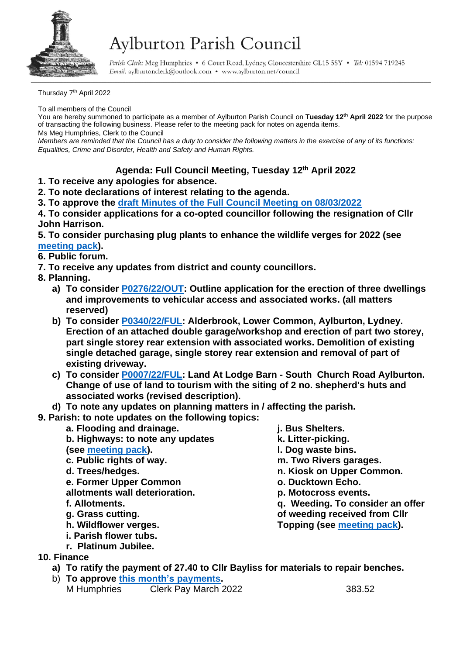

## Aylburton Parish Council

Parish Clerk: Meg Humphries . 6 Court Road, Lydney, Gloucestershire GL15 5SY . Tel: 01594 719245 Email: aylburtonclerk@outlook.com • www.aylburton.net/council

Thursday 7<sup>th</sup> April 2022

To all members of the Council

You are hereby summoned to participate as a member of Aylburton Parish Council on **Tuesday 12th April 2022** for the purpose of transacting the following business. Please refer to the meeting pack for notes on agenda items. Ms Meg Humphries, Clerk to the Council

*Members are reminded that the Council has a duty to consider the following matters in the exercise of any of its functions: Equalities, Crime and Disorder, Health and Safety and Human Rights.*

## **Agenda: Full Council Meeting, Tuesday 12th April 2022**

- **1. To receive any apologies for absence.**
- **2. To note declarations of interest relating to the agenda.**
- **3. To approve the draft [Minutes of the Full Council Meeting on 08/03/2022](http://aylburton.net/wp-content/uploads/2022/04/220308-DRAFT-Minutes-Full-Council-Meeting-08.03.22.pdf)**

**4. To consider applications for a co-opted councillor following the resignation of Cllr John Harrison.**

**5. To consider purchasing plug plants to enhance the wildlife verges for 2022 (see [meeting pack\)](http://aylburton.net/wp-content/uploads/2022/04/220412-Meeting-Pack-April-2022-Full-Council-12.04.22.pdf).**

**6. Public forum.**

- **7. To receive any updates from district and county councillors.**
- **8. Planning.**
	- **a) To consider [P0276/22/OUT:](https://publicaccess.fdean.gov.uk/online-applications/applicationDetails.do?activeTab=summary&keyVal=R80VUTHIGKM00) Outline application for the erection of three dwellings and improvements to vehicular access and associated works. (all matters reserved)**
	- **b) To consider [P0340/22/FUL:](https://publicaccess.fdean.gov.uk/online-applications/applicationDetails.do?activeTab=summary&keyVal=R8HGQAHI0FD00) Alderbrook, Lower Common, Aylburton, Lydney. Erection of an attached double garage/workshop and erection of part two storey, part single storey rear extension with associated works. Demolition of existing single detached garage, single storey rear extension and removal of part of existing driveway.**
	- **c) To consider [P0007/22/FUL:](https://publicaccess.fdean.gov.uk/online-applications/applicationDetails.do?activeTab=summary&keyVal=R5A9U0HIFS700) Land At Lodge Barn - South Church Road Aylburton. Change of use of land to tourism with the siting of 2 no. shepherd's huts and associated works (revised description).**

**d) To note any updates on planning matters in / affecting the parish.**

- **9. Parish: to note updates on the following topics:**
	- **a. Flooding and drainage. b. Highways: to note any updates (see [meeting pack\)](http://aylburton.net/wp-content/uploads/2022/04/220412-Meeting-Pack-April-2022-Full-Council-12.04.22.pdf). c. Public rights of way. d. Trees/hedges. e. Former Upper Common allotments wall deterioration. f. Allotments. g. Grass cutting. h. Wildflower verges. i. Parish flower tubs. j. Bus Shelters. k. Litter-picking. l. Dog waste bins. m. Two Rivers garages. n. Kiosk on Upper Common. o. Ducktown Echo. p. Motocross events. q. Weeding. To consider an offer of weeding received from Cllr Topping (see [meeting pack\)](http://aylburton.net/wp-content/uploads/2022/04/220412-Meeting-Pack-April-2022-Full-Council-12.04.22.pdf). r. Platinum Jubilee.**
- **10. Finance**
	- **a) To ratify the payment of 27.40 to Cllr Bayliss for materials to repair benches.**
	- b) **To approve [this month's](http://aylburton.net/wp-content/uploads/2022/04/2022-04-Schedule-of-Payments-April-2022.pdf) payments.** M Humphries Clerk Pay March 2022 383.52